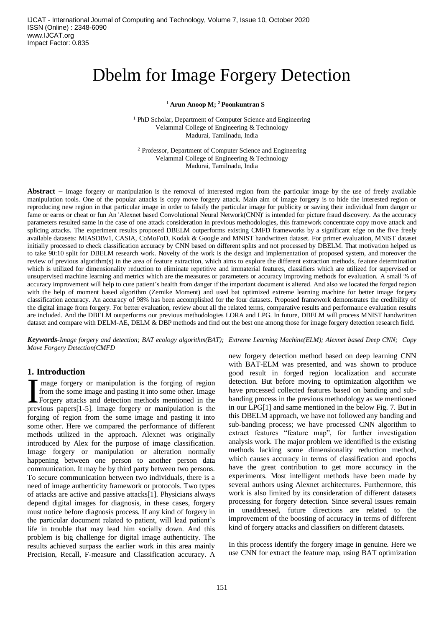# Dbelm for Image Forgery Detection

## **<sup>1</sup> Arun Anoop M; <sup>2</sup> Poonkuntran S**

<sup>1</sup> PhD Scholar, Department of Computer Science and Engineering Velammal College of Engineering & Technology Madurai, Tamilnadu, India

<sup>2</sup> Professor, Department of Computer Science and Engineering Velammal College of Engineering & Technology Madurai, Tamilnadu, India

**Abstract –** Image forgery or manipulation is the removal of interested region from the particular image by the use of freely available manipulation tools. One of the popular attacks is copy move forgery attack. Main aim of image forgery is to hide the interested region or reproducing new region in that particular image in order to falsify the particular image for publicity or saving their individual from danger or fame or earns or cheat or fun An 'Alexnet based Convolutional Neural Network(CNN)' is intended for picture fraud discovery. As the accuracy parameters resulted same in the case of one attack consideration in previous methodologies, this framework concentrate copy move attack and splicing attacks. The experiment results proposed DBELM outperforms existing CMFD frameworks by a significant edge on the five freely available datasets: MIASDBv1, CASIA, CoMoFoD, Kodak & Google and MNIST handwritten dataset. For primer evaluation, MNIST dataset initially processed to check classification accuracy by CNN based on different splits and not processed by DBELM. That motivation helped us to take 90:10 split for DBELM research work. Novelty of the work is the design and implementation of proposed system, and moreover the review of previous algorithm(s) in the area of feature extraction, which aims to explore the different extraction methods, feature determination which is utilized for dimensionality reduction to eliminate repetitive and immaterial features, classifiers which are utilized for supervised or unsupervised machine learning and metrics which are the measures or parameters or accuracy improving methods for evaluation. A small % of accuracy improvement will help to cure patient's health from danger if the important document is altered. And also we located the forged region with the help of moment based algorithm (Zernike Moment) and used bat optimized extreme learning machine for better image forgery classification accuracy. An accuracy of 98% has been accomplished for the four datasets. Proposed framework demonstrates the credibility of the digital image from forgery. For better evaluation, review about all the related terms, comparative results and performance evaluation results are included. And the DBELM outperforms our previous methodologies LORA and LPG. In future, DBELM will process MNIST handwritten dataset and compare with DELM-AE, DELM & DBP methods and find out the best one among those for image forgery detection research field.

*Keywords-Image forgery and detection; BAT ecology algorithm(BAT); Extreme Learning Machine(ELM); Alexnet based Deep CNN; Copy Move Forgery Detection(CMFD*

# **1. Introduction**

mage forgery or manipulation is the forging of region from the some image and pasting it into some other. Image I mage forgery or manipulation is the forging of region<br>from the some image and pasting it into some other. Image<br>Forgery attacks and detection methods mentioned in the<br>provious papers<sup>[1,5]</sup> Image forgery or manipulation previous papers[1-5]. Image forgery or manipulation is the forging of region from the some image and pasting it into some other. Here we compared the performance of different methods utilized in the approach. Alexnet was originally introduced by Alex for the purpose of image classification. Image forgery or manipulation or alteration normally happening between one person to another person data communication. It may be by third party between two persons. To secure communication between two individuals, there is a need of image authenticity framework or protocols. Two types of attacks are active and passive attacks[1]. Physicians always depend digital images for diagnosis, in these cases, forgery must notice before diagnosis process. If any kind of forgery in the particular document related to patient, will lead patient's life in trouble that may lead him socially down. And this problem is big challenge for digital image authenticity. The results achieved surpass the earlier work in this area mainly Precision, Recall, F-measure and Classification accuracy. A

new forgery detection method based on deep learning CNN with BAT-ELM was presented, and was shown to produce good result in forged region localization and accurate detection. But before moving to optimization algorithm we have processed collected features based on banding and subbanding process in the previous methodology as we mentioned in our LPG[1] and same mentioned in the below Fig. 7. But in this DBELM approach, we have not followed any banding and sub-banding process; we have processed CNN algorithm to extract features "feature map", for further investigation analysis work. The major problem we identified is the existing methods lacking some dimensionality reduction method, which causes accuracy in terms of classification and epochs have the great contribution to get more accuracy in the experiments. Most intelligent methods have been made by several authors using Alexnet architectures. Furthermore, this work is also limited by its consideration of different datasets processing for forgery detection. Since several issues remain in unaddressed, future directions are related to the improvement of the boosting of accuracy in terms of different kind of forgery attacks and classifiers on different datasets.

In this process identify the forgery image in genuine. Here we use CNN for extract the feature map, using BAT optimization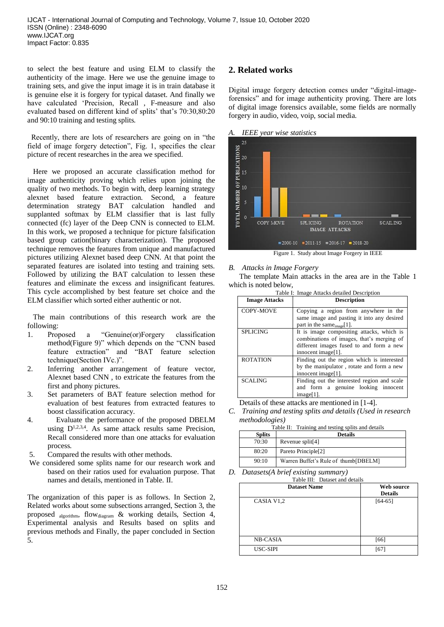to select the best feature and using ELM to classify the authenticity of the image. Here we use the genuine image to training sets, and give the input image it is in train database it is genuine else it is forgery for typical dataset. And finally we have calculated 'Precision, Recall , F-measure and also evaluated based on different kind of splits' that's 70:30,80:20 and 90:10 training and testing splits.

 Recently, there are lots of researchers are going on in "the field of image forgery detection", Fig. 1, specifies the clear picture of recent researches in the area we specified.

 Here we proposed an accurate classification method for image authenticity proving which relies upon joining the quality of two methods. To begin with, deep learning strategy alexnet based feature extraction. Second, a feature determination strategy BAT calculation handled and supplanted softmax by ELM classifier that is last fully connected (fc) layer of the Deep CNN is connected to ELM. In this work, we proposed a technique for picture falsification based group cation(binary characterization). The proposed technique removes the features from unique and manufactured pictures utilizing Alexnet based deep CNN. At that point the separated features are isolated into testing and training sets. Followed by utilizing the BAT calculation to lessen these features and eliminate the excess and insignificant features. This cycle accomplished by best feature set choice and the ELM classifier which sorted either authentic or not.

 The main contributions of this research work are the following:

- 1. Proposed a "Genuine(or)Forgery classification method(Figure 9)" which depends on the "CNN based feature extraction" and "BAT feature selection technique(Section IVc.)".
- 2. Inferring another arrangement of feature vector, Alexnet based CNN , to extricate the features from the first and phony pictures.
- 3. Set parameters of BAT feature selection method for evaluation of best features from extracted features to boost classification accuracy.
- 4. Evaluate the performance of the proposed DBELM using  $D^{1,2,3,4}$ . As same attack results same Precision, Recall considered more than one attacks for evaluation process.
- 5. Compared the results with other methods.
- We considered some splits name for our research work and based on their ratios used for evaluation purpose. That names and details, mentioned in Table. II.

The organization of this paper is as follows. In Section 2, Related works about some subsections arranged, Section 3, the proposed algorithm, flowdiagram & working details, Section 4, Experimental analysis and Results based on splits and previous methods and Finally, the paper concluded in Section 5.

# **2. Related works**

Digital image forgery detection comes under "digital-imageforensics" and for image authenticity proving. There are lots of digital image forensics available, some fields are normally forgery in audio, video, voip, social media.



### *B. Attacks in Image Forgery*

The template Main attacks in the area are in the Table 1 which is noted below,

| Table I: Image Attacks detailed Description |                                                                                                                                                          |
|---------------------------------------------|----------------------------------------------------------------------------------------------------------------------------------------------------------|
| <b>Image Attacks</b>                        | <b>Description</b>                                                                                                                                       |
| <b>COPY-MOVE</b>                            | Copying a region from anywhere in the<br>same image and pasting it into any desired<br>part in the same $_{\text{image}}[1]$ .                           |
| <b>SPLICING</b>                             | It is image compositing attacks, which is<br>combinations of images, that's merging of<br>different images fused to and form a new<br>innocent image[1]. |
| <b>ROTATION</b>                             | Finding out the region which is interested<br>by the manipulator, rotate and form a new<br>innocent image[1].                                            |
| <b>SCALING</b>                              | Finding out the interested region and scale<br>and form a genuine looking innocent<br>$image[1]$ .                                                       |

Details of these attacks are mentioned in [1-4].

*C. Training and testing splits and details (Used in research methodologies)*

| Table II: Training and testing splits and details |                                      |  |
|---------------------------------------------------|--------------------------------------|--|
| <b>Splits</b>                                     | <b>Details</b>                       |  |
| 70:30                                             | Revenue split[4]                     |  |
| 80:20                                             | Pareto Principle <sup>[2]</sup>      |  |
| 90:10                                             | Warren Buffet's Rule of thumb[DBELM] |  |

*D. Datasets(A brief existing summary)*

| Table III: Dataset and details |                |  |
|--------------------------------|----------------|--|
| <b>Dataset Name</b>            | Web source     |  |
|                                | <b>Details</b> |  |
| CASIA V <sub>1,2</sub>         | $[64-65]$      |  |
| <b>NB-CASIA</b>                | $[66]$         |  |
| USC-SIPI                       | [67            |  |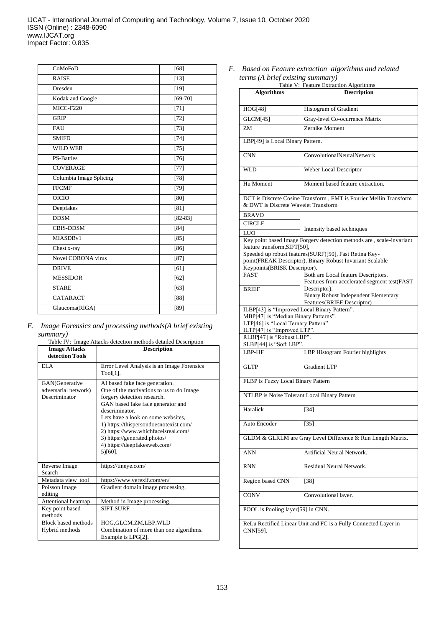| CoMoFoD                 | [68]        |
|-------------------------|-------------|
| <b>RAISE</b>            | $[13]$      |
| Dresden                 | $[19]$      |
| Kodak and Google        | $[69-70]$   |
| $\overline{MICC}$ -F220 | $[71]$      |
| <b>GRIP</b>             | $[72]$      |
| FAU                     | $[73]$      |
| <b>SMIFD</b>            | $[74]$      |
| <b>WILD WEB</b>         | $[75]$      |
| <b>PS-Battles</b>       | $[76]$      |
| <b>COVERAGE</b>         | $[77]$      |
| Columbia Image Splicing | $[78]$      |
| <b>FFCMF</b>            | $[79]$      |
| <b>OICIO</b>            | [80]        |
| Deepfakes               | [81]        |
| <b>DDSM</b>             | $[82 - 83]$ |
| <b>CBIS-DDSM</b>        | [84]        |
| MIASDBv1                | [85]        |
| Chest x-ray             | $[86]$      |
| Novel CORONA virus      | $[87]$      |
| <b>DRIVE</b>            | [61]        |
| <b>MESSIDOR</b>         | $[62]$      |
| <b>STARE</b>            | $[63]$      |
| <b>CATARACT</b>         | [88]        |
| Glaucoma(RIGA)          | [89]        |

# *E. Image Forensics and processing methods(A brief existing*

|                                                         | Table IV: Image Attacks detection methods detailed Description                                                                                                                                                                                                                                                                                                        |
|---------------------------------------------------------|-----------------------------------------------------------------------------------------------------------------------------------------------------------------------------------------------------------------------------------------------------------------------------------------------------------------------------------------------------------------------|
| <b>Image Attacks</b><br>detection Tools                 | <b>Description</b>                                                                                                                                                                                                                                                                                                                                                    |
| ELA                                                     | Error Level Analysis is an Image Forensics<br>Tool[1].                                                                                                                                                                                                                                                                                                                |
| GAN(Generative<br>adversarial network)<br>Descriminator | AI based fake face generation.<br>One of the motivations to us to do Image<br>forgery detection research.<br>GAN based fake face generator and<br>descriminator.<br>Lets have a look on some websites,<br>1) https://thispersondoesnotexist.com/<br>2) https://www.whichfaceisreal.com/<br>3) https://generated.photos/<br>4) https://deepfakesweb.com/<br>$5)[60]$ . |
| Reverse Image<br>Search                                 | https://tineye.com/                                                                                                                                                                                                                                                                                                                                                   |
| Metadata view tool                                      | https://www.verexif.com/en/                                                                                                                                                                                                                                                                                                                                           |
| Poisson Image<br>editing                                | Gradient domain image processing.                                                                                                                                                                                                                                                                                                                                     |
| Attentional heatmap.                                    | Method in Image processing.                                                                                                                                                                                                                                                                                                                                           |
| Key point based<br>methods                              | SIFT, SURF                                                                                                                                                                                                                                                                                                                                                            |
| <b>Block based methods</b>                              | HOG,GLCM,ZM,LBP,WLD                                                                                                                                                                                                                                                                                                                                                   |
| Hybrid methods                                          | Combination of more than one algorithms.<br>Example is LPG[2].                                                                                                                                                                                                                                                                                                        |

*F. Based on Feature extraction algorithms and related terms (A brief existing summary)*

| Table V: Feature Extraction Algorithms                             |                                                                                                                                |  |
|--------------------------------------------------------------------|--------------------------------------------------------------------------------------------------------------------------------|--|
| <b>Algorithms</b>                                                  | <b>Description</b>                                                                                                             |  |
|                                                                    |                                                                                                                                |  |
| HOG[48]                                                            | Histogram of Gradient                                                                                                          |  |
| GLCM[45]                                                           | Gray-level Co-ocurrence Matrix                                                                                                 |  |
| ZM                                                                 | Zernike Moment                                                                                                                 |  |
| LBP[49] is Local Binary Pattern.                                   |                                                                                                                                |  |
| <b>CNN</b>                                                         | ConvolutionalNeuralNetwork                                                                                                     |  |
| WLD                                                                | Weber Local Descriptor                                                                                                         |  |
| Hu Moment                                                          | Moment based feature extraction.                                                                                               |  |
| & DWT is Discrete Wavelet Transform                                | DCT is Discrete Cosine Transform, FMT is Fourier Mellin Transform                                                              |  |
| <b>BRAVO</b>                                                       |                                                                                                                                |  |
| <b>CIRCLE</b>                                                      |                                                                                                                                |  |
| LUO                                                                | Intensity based techniques                                                                                                     |  |
| feature transform, SIFT[50],                                       | Key point based Image Forgery detection methods are, scale-invariant<br>Speeded up robust features(SURF)[50], Fast Retina Key- |  |
|                                                                    | point(FREAK Descriptor), Binary Robust Invariant Scalable                                                                      |  |
| Keypoints(BRISK Descriptor).                                       |                                                                                                                                |  |
| <b>FAST</b>                                                        | Both are Local feature Descriptors.<br>Features from accelerated segment test(FAST                                             |  |
| <b>BRIEF</b>                                                       | Descriptor).                                                                                                                   |  |
|                                                                    | <b>Binary Robust Independent Elementary</b>                                                                                    |  |
|                                                                    | Features(BRIEF Descriptor)                                                                                                     |  |
| ILBP[43] is "Improved Local Binary Pattern".                       |                                                                                                                                |  |
| MBP[47] is "Median Binary Patterns".                               |                                                                                                                                |  |
| LTP[46] is "Local Ternary Pattern".<br>ILTP[47] is "Improved LTP". |                                                                                                                                |  |
| RLBP[47] is "Robust LBP".                                          |                                                                                                                                |  |
| SLBP[44] is "Soft LBP".                                            |                                                                                                                                |  |
| LBP-HF                                                             | LBP Histogram Fourier highlights                                                                                               |  |
| <b>GLTP</b>                                                        | <b>Gradient LTP</b>                                                                                                            |  |
| FLBP is Fuzzy Local Binary Pattern                                 |                                                                                                                                |  |
| NTLBP is Noise Tolerant Local Binary Pattern                       |                                                                                                                                |  |
| Haralick                                                           | $[34]$                                                                                                                         |  |
| Auto Encoder                                                       | $[35]$                                                                                                                         |  |
| GLDM & GLRLM are Gray Level Difference & Run Length Matrix.        |                                                                                                                                |  |
| ANN                                                                | Artificial Neural Network.                                                                                                     |  |
| <b>RNN</b>                                                         | Residual Neural Network.                                                                                                       |  |
| Region based CNN                                                   | $[38]$                                                                                                                         |  |
| <b>CONV</b>                                                        | Convolutional layer.                                                                                                           |  |
| POOL is Pooling layer[59] in CNN.                                  |                                                                                                                                |  |
| ReLu Rectified Linear Unit and FC is a Fully Connected Layer in    |                                                                                                                                |  |
| CNN[59].                                                           |                                                                                                                                |  |
|                                                                    |                                                                                                                                |  |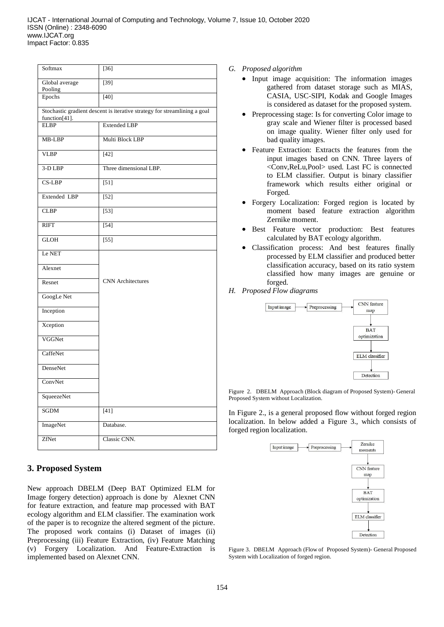| Softmax                                                                                    | $[36]$                   |  |
|--------------------------------------------------------------------------------------------|--------------------------|--|
| Global average<br>Pooling                                                                  | $[39]$                   |  |
| Epochs                                                                                     | $[40]$                   |  |
| Stochastic gradient descent is iterative strategy for streamlining a goal<br>function[41]. |                          |  |
| <b>ELBP</b>                                                                                | <b>Extended LBP</b>      |  |
| MB-LBP                                                                                     | Multi Block LBP          |  |
| <b>VLBP</b>                                                                                | $[42]$                   |  |
| 3-D LBP                                                                                    | Three dimensional LBP.   |  |
| $CS-LBP$                                                                                   | [51]                     |  |
| Extended LBP                                                                               | $[52]$                   |  |
| <b>CLBP</b>                                                                                | $[53]$                   |  |
| <b>RIFT</b>                                                                                | $[54]$                   |  |
| <b>GLOH</b>                                                                                | $[55]$                   |  |
| Le NET                                                                                     |                          |  |
| Alexnet                                                                                    |                          |  |
| Resnet                                                                                     | <b>CNN</b> Architectures |  |
| GoogLe Net                                                                                 |                          |  |
| Inception                                                                                  |                          |  |
| Xception                                                                                   |                          |  |
| VGGNet                                                                                     |                          |  |
| CaffeNet                                                                                   |                          |  |
| DenseNet                                                                                   |                          |  |
| ConvNet                                                                                    |                          |  |
| SqueezeNet                                                                                 |                          |  |
| <b>SGDM</b>                                                                                | $[41]$                   |  |
| ImageNet                                                                                   | Database.                |  |
| ZfNet                                                                                      | Classic CNN.             |  |

# **3. Proposed System**

New approach DBELM (Deep BAT Optimized ELM for Image forgery detection) approach is done by Alexnet CNN for feature extraction, and feature map processed with BAT ecology algorithm and ELM classifier. The examination work of the paper is to recognize the altered segment of the picture. The proposed work contains (i) Dataset of images (ii) Preprocessing (iii) Feature Extraction, (iv) Feature Matching (v) Forgery Localization. And Feature-Extraction is implemented based on Alexnet CNN.

## *G. Proposed algorithm*

- Input image acquisition: The information images gathered from dataset storage such as MIAS, CASIA, USC-SIPI, Kodak and Google Images is considered as dataset for the proposed system.
- Preprocessing stage: Is for converting Color image to gray scale and Wiener filter is processed based on image quality. Wiener filter only used for bad quality images.
- Feature Extraction: Extracts the features from the input images based on CNN. Three layers of <Conv,ReLu,Pool> used. Last FC is connected to ELM classifier. Output is binary classifier framework which results either original or Forged.
- Forgery Localization: Forged region is located by moment based feature extraction algorithm Zernike moment.
- Best Feature vector production: Best features calculated by BAT ecology algorithm.
- Classification process: And best features finally processed by ELM classifier and produced better classification accuracy, based on its ratio system classified how many images are genuine or forged.
- *H. Proposed Flow diagrams*



Figure 2. DBELM Approach (Block diagram of Proposed System)- General Proposed System without Localization.

In Figure 2., is a general proposed flow without forged region localization. In below added a Figure 3., which consists of forged region localization.



Figure 3. DBELM Approach (Flow of Proposed System)- General Proposed System with Localization of forged region.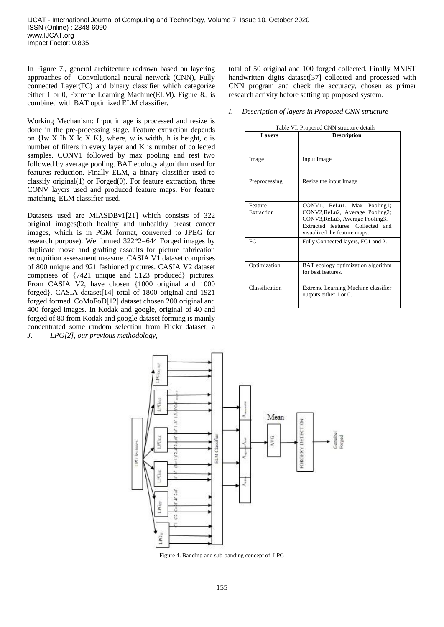In Figure 7., general architecture redrawn based on layering approaches of Convolutional neural network (CNN), Fully connected Layer(FC) and binary classifier which categorize either 1 or 0, Extreme Learning Machine(ELM). Figure 8., is combined with BAT optimized ELM classifier.

Working Mechanism: Input image is processed and resize is done in the pre-processing stage. Feature extraction depends on  $\{Iw X Ih X Ic X K\}$ , where, w is width, h is height, c is number of filters in every layer and K is number of collected samples. CONV1 followed by max pooling and rest two followed by average pooling. BAT ecology algorithm used for features reduction. Finally ELM, a binary classifier used to classify original(1) or Forged(0). For feature extraction, three CONV layers used and produced feature maps. For feature matching, ELM classifier used.

Datasets used are MIASDBv1[21] which consists of 322 original images(both healthy and unhealthy breast cancer images, which is in PGM format, converted to JPEG for research purpose). We formed 322\*2=644 Forged images by duplicate move and grafting assaults for picture fabrication recognition assessment measure. CASIA V1 dataset comprises of 800 unique and 921 fashioned pictures. CASIA V2 dataset comprises of {7421 unique and 5123 produced} pictures. From CASIA V2, have chosen {1000 original and 1000 forged}. CASIA dataset[14] total of 1800 original and 1921 forged formed. CoMoFoD[12] dataset chosen 200 original and 400 forged images. In Kodak and google, original of 40 and forged of 80 from Kodak and google dataset forming is mainly concentrated some random selection from Flickr dataset, a *J. LPG[2], our previous methodology,*

total of 50 original and 100 forged collected. Finally MNIST handwritten digits dataset[37] collected and processed with CNN program and check the accuracy, chosen as primer research activity before setting up proposed system.

*I. Description of layers in Proposed CNN structure*

| Table VI: Proposed CNN structure details |                                                                                                                                                                        |
|------------------------------------------|------------------------------------------------------------------------------------------------------------------------------------------------------------------------|
| Layers                                   | <b>Description</b>                                                                                                                                                     |
| Image                                    | Input Image                                                                                                                                                            |
| Preprocessing                            | Resize the input Image                                                                                                                                                 |
| Feature<br>Extraction                    | CONV1, ReLu1, Max Pooling1;<br>CONV2, ReLu2, Average Pooling2;<br>CONV3, ReLu3, Average Pooling3.<br>Extracted features. Collected and<br>visualized the feature maps. |
| FC.                                      | Fully Connected layers, FC1 and 2.                                                                                                                                     |
| Optimization                             | BAT ecology optimization algorithm<br>for best features.                                                                                                               |
| Classification                           | Extreme Learning Machine classifier<br>outputs either 1 or 0.                                                                                                          |



Figure 4. Banding and sub-banding concept of LPG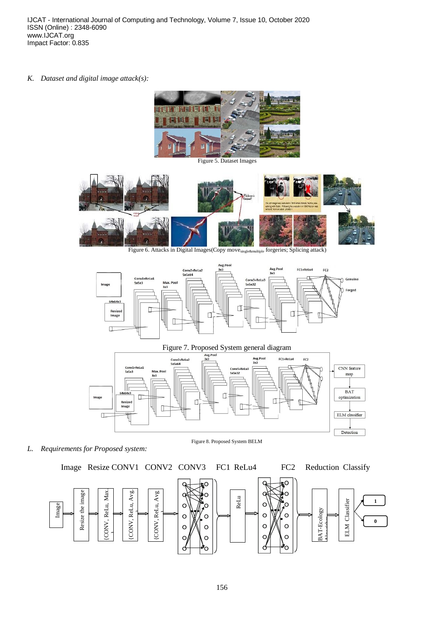*K. Dataset and digital image attack(s):*



Figure 5. Dataset Images



Figure 6. Attacks in Digital Images(Copy move<sub>single&multiple</sub> forgeries; Splicing attack)





*L. Requirements for Proposed system:*

Figure 8. Proposed System BELM

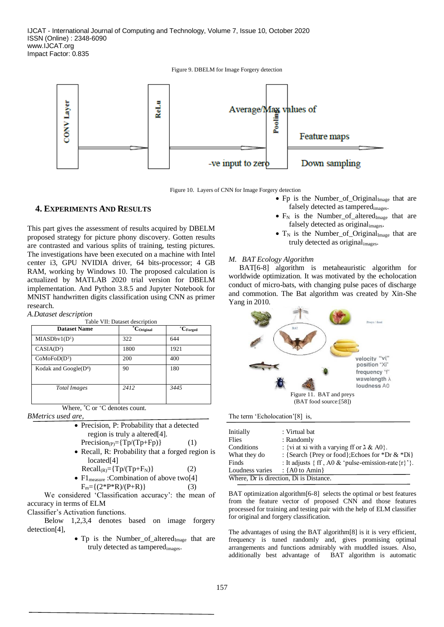Figure 9. DBELM for Image Forgery detection



Figure 10. Layers of CNN for Image Forgery detection

## **4. EXPERIMENTS AND RESULTS**

This part gives the assessment of results acquired by DBELM proposed strategy for picture phony discovery. Gotten results are contrasted and various splits of training, testing pictures. The investigations have been executed on a machine with Intel center i3, GPU NVIDIA driver, 64 bits-processor; 4 GB RAM, working by Windows 10. The proposed calculation is actualized by MATLAB 2020 trial version for DBELM implementation. And Python 3.8.5 and Jupyter Notebook for MNIST handwritten digits classification using CNN as primer research.

| A.Dataset description |  |  |
|-----------------------|--|--|
|-----------------------|--|--|

| Table VII: Dataset description |                                  |                    |
|--------------------------------|----------------------------------|--------------------|
| <b>Dataset Name</b>            | $\overline{\mathbf{C}}$ Original | $^+C_{\rm Forged}$ |
| MIASDbv1(D <sup>1</sup> )      | 322                              | 644                |
| CASIA(D <sup>2</sup> )         | 1800                             | 1921               |
| $CoMoFoD(D^3)$                 | 200                              | 400                |
| Kodak and $Google(D4)$         | 90                               | 180                |
| Total Images                   | 2412                             | 3445               |

Where,  $^{\ast}$ C or  $^{\ast}$ C denotes count.

*BMetrics used are,*

- Precision, P: Probability that a detected region is truly a altered[4].  $Precision_{(P)} = {Tp/(Tp + Fp)}$  (1)
- Recall, R: Probability that a forged region is located[4]

 $Recall_{(R)} = {Tp/(Tp + F_N)}$  (2)

•  $Fl$ <sub>measure</sub> :Combination of above two<sup>[4]</sup>  $F_m = \{(2^*P^*R)/(P+R)\}\$  (3)

 We considered 'Classification accuracy': the mean of accuracy in terms of ELM

Classifier's Activation functions.

 Below 1,2,3,4 denotes based on image forgery detection[4],

> • Tp is the Number\_of\_altered $I_{Image}$  that are truly detected as tamperedimages.

- Fp is the Number\_of\_Original $I_{\text{Image}}$  that are falsely detected as tamperedimages.
- $F_N$  is the Number\_of\_altered<sub>Image</sub> that are falsely detected as originalimages.
- $T_N$  is the Number of Original<sub>Image</sub> that are truly detected as originalimages.

## *M. BAT Ecology Algorithm*

BAT[6-8] algorithm is metaheauristic algorithm for worldwide optimization. It was motivated by the echolocation conduct of micro-bats, with changing pulse paces of discharge and commotion. The Bat algorithm was created by Xin-She Yang in 2010.



The term 'Echolocation'[8] is,

| Initially       | : Virtual bat                                                      |
|-----------------|--------------------------------------------------------------------|
| Flies           | : Randomly                                                         |
| Conditions      | : {vi at xi with a varying ff or $\lambda \& A0$ }.                |
| What they do    | : {Search {Prey or food}; Echoes for *Dr $\&$ *Di}                 |
| Finds           | : It adjusts $\{ff, A0 &$ r/evillent pulse-emission-rate $\{r\}$ . |
| Loudness varies | : { $A0$ to Amin}                                                  |
|                 | Where, Dr is direction, Di is Distance.                            |

BAT optimization algorithm<sup>[6-8]</sup> selects the optimal or best features from the feature vector of proposed CNN and those features processed for training and testing pair with the help of ELM classifier for original and forgery classification.

The advantages of using the BAT algorithm[8] is it is very efficient, frequency is tuned randomly and, gives promising optimal arrangements and functions admirably with muddled issues. Also, additionally best advantage of BAT algorithm is automatic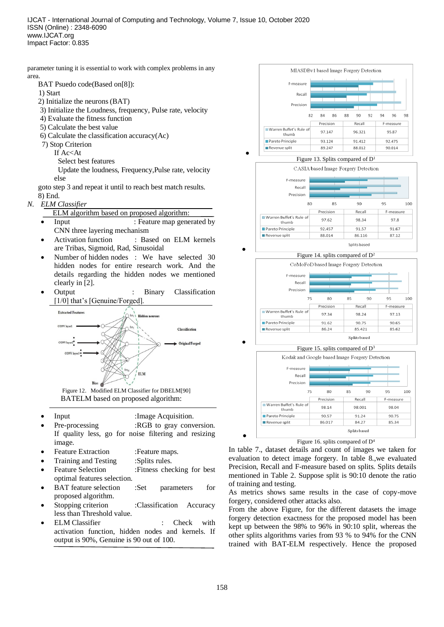parameter tuning it is essential to work with complex problems in any area.

- BAT Psuedo code(Based on[8]):
- 1) Start
- 2) Initialize the neurons (BAT)
- 3) Initialize the Loudness, frequency, Pulse rate, velocity
- 4) Evaluate the fitness function
- 5) Calculate the best value
- 6) Calculate the classification accuracy $(Ac)$
- 7) Stop Criterion
	- If Ac<At
		- Select best features

 Update the loudness, Frequency,Pulse rate, velocity else

goto step 3 and repeat it until to reach best match results. 8) End.

*N. ELM Classifier*

ELM algorithm based on proposed algorithm:

- **Input** : Feature map generated by CNN three layering mechanism
- Activation function : Based on ELM kernels are Tribas, Sigmoid, Rad, Sinusoidal
- Number of hidden nodes : We have selected 30 hidden nodes for entire research work. And the details regarding the hidden nodes we mentioned clearly in [2].
- Output : Binary Classification [1/0] that's [Genuine/Forged].



Figure 12. Modified ELM Classifier for DBELM[90] BATELM based on proposed algorithm:

- **Input :Image Acquisition.**
- Pre-processing :RGB to gray conversion. If quality less, go for noise filtering and resizing image.
- Feature Extraction :Feature maps.
- Training and Testing :Splits rules.
- Feature Selection :Fitness checking for best optimal features selection.
- BAT feature selection :Set parameters for proposed algorithm.
- Stopping criterion :Classification Accuracy less than Threshold value.
- ELM Classifier : Check with activation function, hidden nodes and kernels. If output is 90%, Genuine is 90 out of 100.







91.62

86.24

90.75

85.421

90.65

85.62

Figure 16. splits compared of D<sup>4</sup>

In table 7., dataset details and count of images we taken for evaluation to detect image forgery. In table 8.,we evaluated Precision, Recall and F-measure based on splits. Splits details mentioned in Table 2. Suppose split is 90:10 denote the ratio of training and testing.

As metrics shows same results in the case of copy-move forgery, considered other attacks also.

From the above Figure, for the different datasets the image forgery detection exactness for the proposed model has been kept up between the 98% to 96% in 90:10 split, whereas the other splits algorithms varies from 93 % to 94% for the CNN trained with BAT-ELM respectively. Hence the proposed

•

Pareto Principle

Revenue split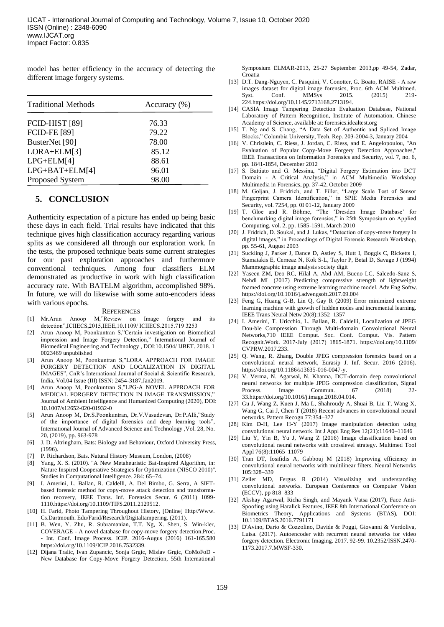model has better efficiency in the accuracy of detecting the different image forgery systems.

| <b>Traditional Methods</b> | Accuracy $(\% )$ |
|----------------------------|------------------|
| FCID-HIST [89]             | 76.33            |
| <b>FCID-FE [89]</b>        | 79.22            |
| BusterNet [90]             | 78.00            |
| LORA+ELM[3]                | 85.12            |
| $LPG+ELM[4]$               | 88.61            |
| $LPG+BAT+ELM[4]$           | 96.01            |
| Proposed System            | 98.00            |

## **5. CONCLUSION**

Authenticity expectation of a picture has ended up being basic these days in each field. Trial results have indicated that this technique gives high classification accuracy regarding various splits as we considered all through our exploration work. In the tests, the proposed technique beats some current strategies for our past exploration approaches and furthermore conventional techniques. Among four classifiers ELM demonstrated as productive in work with high classification accuracy rate. With BATELM algorithm, accomplished 98%. In future, we will do likewise with some auto-encoders ideas with various epochs.

#### **REFERENCES**

- [1] Mr.Arun Anoop M,"Review on Image forgery and its detection",ICIIECS,2015,IEEE,10.1109/ ICIIECS.2015.719 3253
- [2] Arun Anoop M, Poonkuntran S,"Certain investigation on Biomedical impression and Image Forgery Detection," International Journal of Biomedical Engineering and Technology , DOI:10.1504/ IJBET. 2018. 1 0023469 unpublished
- [3] Arun Anoop M, Poonkuntran S,"LORA APPROACH FOR IMAGE FORGERY DETECTION AND LOCALIZATION IN DIGITAL IMAGES", CnR's International Journal of Social & Scientific Research, India, Vol.04 Issue (III) ISSN: 2454-3187,Jan2019.
- [4] Arun Anoop M, Poonkuntran S,"LPG-A NOVEL APPROACH FOR MEDICAL FORGERY DETECTION IN IMAGE TRANSMISSION," Journal of Ambient Intelligence and Humanized Computing (2020), DOI: 10.1007/s12652-020-01932-0
- [5] Arun Anoop M, Dr.S.Poonkuntran, Dr.V.Vasudevan, Dr.P.Alli,"Study of the importance of digital forensics and deep learning tools", International Journal of Advanced Science and Technology ,Vol. 28, No. 20, (2019), pp. 963-978
- [6] J. D. Altringham, Bats: Biology and Behaviour, Oxford University Press, (1996).
- [7] P. Richardson, Bats. Natural History Museum, London, (2008)
- [8] Yang, X. S. (2010). "A New Metaheuristic Bat-Inspired Algorithm, in: Nature Inspired Cooperative Strategies for Optimization (NISCO 2010)". Studies in Computational Intelligence. 284: 65–74.
- [9] I. Amerini, L. Ballan, R. Caldelli, A. Del Bimbo, G. Serra, A SIFTbased forensic method for copy-move attack detection and transformation recovery, IEEE Trans. Inf. Forensics Secur. 6 (2011) 1099- 1110.https://doi.org/10.1109/TIFS.2011.2129512.
- [10] H. Farid, Photo Tampering Throughout History, [Online] Http//Www. Cs.Dartmouth. Edu/Farid/Research/Digitaltampering. (2011).
- [11] B. Wen, Y. Zhu, R. Subramanian, T.T. Ng, X. Shen, S. Win-kler, COVERAGE - A novel database for copy-move forgery detection,Proc. - Int. Conf. Image Process. ICIP. 2016-Augus (2016) 161-165.580 https://doi.org/10.1109/ICIP.2016.7532339.
- [12] Dijana Tralic, Ivan Zupancic, Sonja Grgic, Mislav Grgic, CoMoFoD New Database for Copy-Move Forgery Detection, 55th International

Symposium ELMAR-2013, 25-27 September 2013,pp 49-54, Zadar, Croatia

- [13] D.T. Dang-Nguyen, C. Pasquini, V. Conotter, G. Boato, RAISE A raw images dataset for digital image forensics, Proc. 6th ACM Multimed. Syst. Conf. MMSys 2015. (2015) 219-224.https://doi.org/10.1145/2713168.2713194.
- [14] CASIA Image Tampering Detection Evaluation Database, National Laboratory of Pattern Recognition, Institute of Automation, Chinese Academy of Science, available at: forensics.idealtest.org
- [15] T. Ng and S. Chang, "A Data Set of Authentic and Spliced Image Blocks," Columbia University, Tech. Rep. 203-2004-3, January 2004
- [16] V. Christlein, C. Riess, J. Jordan, C. Riess, and E. Angelopoulou, "An Evaluation of Popular Copy-Move Forgery Detection Approaches," IEEE Transactions on Information Forensics and Security, vol. 7, no. 6, pp. 1841-1854, December 2012
- [17] S. Battiato and G. Messina, "Digital Forgery Estimation into DCT Domain - A Critical Analysis," in ACM Multimedia Workshop Multimedia in Forensics, pp. 37-42, October 2009
- [18] M. Goljan, J. Fridrich, and T. Filler, "Large Scale Test of Sensor Fingerprint Camera Identification," in SPIE Media Forensics and Security, vol. 7254, pp. 0I 01-12, January 2009
- [19] T. Gloe and R. Böhme, "The 'Dresden Image Database' for benchmarking digital image forensics," in 25th Symposium on Applied Computing, vol. 2, pp. 1585-1591, March 2010
- [20] J. Fridrich, D. Soukal, and J. Lukas, "Detection of copy-move forgery in digital images," in Proceedings of Digital Forensic Research Workshop, pp. 55-61, August 2003
- [21] Suckling J, Parker J, Dance D, Astley S, Hutt I, Boggis C, Ricketts I, Stamatakis E, Cerneaz N, Kok S-L, Taylor P, Betal D, Savage J (1994) Mammographic image analysis society digit
- [22] Yaseen ZM, Deo RC, Hilal A, Abd AM, Bueno LC, Salcedo-Sanz S, Nehdi ML (2017) Predicting compressive strength of lightweight foamed concrete using extreme learning machine model. Adv Eng Softw. https://doi.org/10.1016/j.advengsoft.2017.09.004
- [23] Feng G, Huang G-B, Lin Q, Gay R (2009) Error minimized extreme learning machine with growth of hidden nodes and incremental learning. IEEE Trans Neural Netw 20(8):1352–1357
- [24] I. Amerini, T. Uricchio, L. Ballan, R. Caldelli, Localization of JPEG Dou-ble Compression Through Multi-domain Convolutional Neural Networks,710 IEEE Comput. Soc. Conf. Comput. Vis. Pattern Recognit.Work. 2017-July (2017) 1865-1871. https://doi.org/10.1109/ CVPRW.2017.233.
- [25] Q. Wang, R. Zhang, Double JPEG compression forensics based on a convolutional neural network, Eurasip J. Inf. Secur. 2016 (2016). https://doi.org/10.1186/s13635-016-0047-y.
- [26] V. Verma, N. Agarwal, N. Khanna, DCT-domain deep convolutional neural networks for multiple JPEG compression classification, Signal Process. Image Commun. 67 (2018) 22-Process. Image Commun. 67 (2018) 22-33.https://doi.org/10.1016/j.image.2018.04.014.
- [27] Gu J, Wang Z, Kuen J, Ma L, Shahroudy A, Shuai B, Liu T, Wang X, Wang G, Cai J, Chen T (2018) Recent advances in convolutional neural networks. Pattern Recogn 77:354–377
- [28] Kim D-H, Lee H-Y (2017) Image manipulation detection using convolutional neural network. Int J Appl Eng Res 12(21):11640–11646
- [29] Liu Y, Yin B, Yu J, Wang Z (2016) Image classification based on convolutional neural networks with crosslevel strategy. Multimed Tool Appl 76(8):11065–11079
- [30] Tran DT, Iosifidis A, Gabbouj M (2018) Improving efficiency in convolutional neural networks with multilinear filters. Neural Networks 105:328–339
- [31] Zeiler MD, Fergus R (2014) Visualizing and understanding convolutional networks. European Conference on Computer Vision (ECCV), pp 818–833
- [32] Akshay Agarwal, Richa Singh, and Mayank Vatsa (2017), Face Anti-Spoofing using Haralick Features, IEEE 8th International Conference on Biometrics Theory, Applications and Systems (BTAS), DOI: 10.1109/BTAS.2016.7791171
- [33] D'Avino, Dario & Cozzolino, Davide & Poggi, Giovanni & Verdoliva, Luisa. (2017). Autoencoder with recurrent neural networks for video forgery detection. Electronic Imaging. 2017. 92-99. 10.2352/ISSN.2470- 1173.2017.7.MWSF-330.